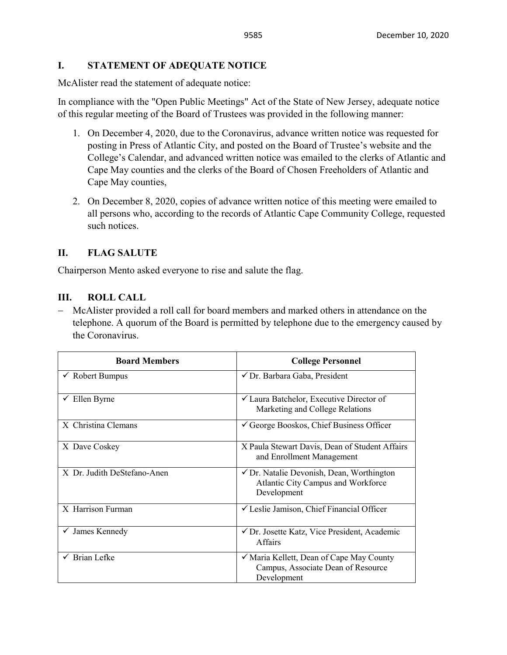### **I. STATEMENT OF ADEQUATE NOTICE**

McAlister read the statement of adequate notice:

In compliance with the "Open Public Meetings" Act of the State of New Jersey, adequate notice of this regular meeting of the Board of Trustees was provided in the following manner:

- 1. On December 4, 2020, due to the Coronavirus, advance written notice was requested for posting in Press of Atlantic City, and posted on the Board of Trustee's website and the College's Calendar, and advanced written notice was emailed to the clerks of Atlantic and Cape May counties and the clerks of the Board of Chosen Freeholders of Atlantic and Cape May counties,
- 2. On December 8, 2020, copies of advance written notice of this meeting were emailed to all persons who, according to the records of Atlantic Cape Community College, requested such notices.

# **II. FLAG SALUTE**

Chairperson Mento asked everyone to rise and salute the flag.

### **III. ROLL CALL**

− McAlister provided a roll call for board members and marked others in attendance on the telephone. A quorum of the Board is permitted by telephone due to the emergency caused by the Coronavirus.

| <b>Board Members</b>          | <b>College Personnel</b>                                                                                  |
|-------------------------------|-----------------------------------------------------------------------------------------------------------|
| $\checkmark$ Robert Bumpus    | √ Dr. Barbara Gaba, President                                                                             |
| $\checkmark$ Ellen Byrne      | $\checkmark$ Laura Batchelor, Executive Director of<br>Marketing and College Relations                    |
| X Christina Clemans           | $\checkmark$ George Booskos, Chief Business Officer                                                       |
| X Dave Coskey                 | X Paula Stewart Davis, Dean of Student Affairs<br>and Enrollment Management                               |
| X Dr. Judith DeStefano-Anen   | $\checkmark$ Dr. Natalie Devonish, Dean, Worthington<br>Atlantic City Campus and Workforce<br>Development |
| X Harrison Furman             | └ Leslie Jamison, Chief Financial Officer                                                                 |
| James Kennedy<br>$\checkmark$ | √ Dr. Josette Katz, Vice President, Academic<br><b>Affairs</b>                                            |
| $\checkmark$ Brian Lefke      | ✓ Maria Kellett, Dean of Cape May County<br>Campus, Associate Dean of Resource<br>Development             |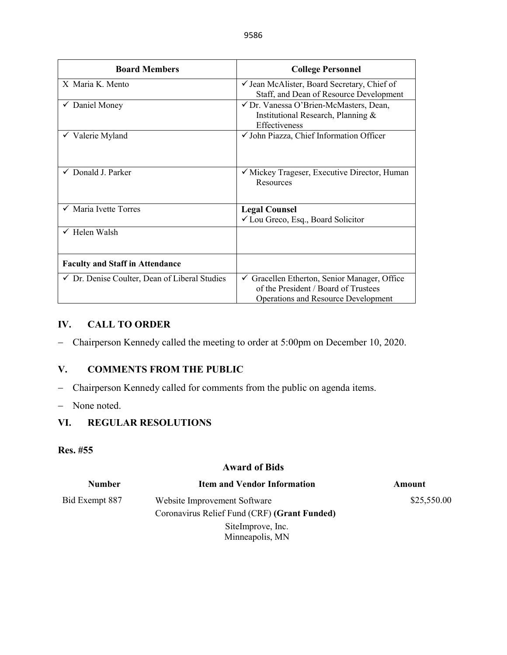| <b>Board Members</b>                                     | <b>College Personnel</b>                                                                                                                      |
|----------------------------------------------------------|-----------------------------------------------------------------------------------------------------------------------------------------------|
| X Maria K. Mento                                         | $\checkmark$ Jean McAlister, Board Secretary, Chief of<br>Staff, and Dean of Resource Development                                             |
| $\checkmark$ Daniel Money                                | √ Dr. Vanessa O'Brien-McMasters, Dean,<br>Institutional Research, Planning &<br>Effectiveness                                                 |
| $\checkmark$ Valerie Myland                              | √ John Piazza, Chief Information Officer                                                                                                      |
| $\checkmark$ Donald J. Parker                            | ✓ Mickey Trageser, Executive Director, Human<br>Resources                                                                                     |
| $\checkmark$ Maria Ivette Torres                         | <b>Legal Counsel</b><br>$\checkmark$ Lou Greco, Esq., Board Solicitor                                                                         |
| $\checkmark$ Helen Walsh                                 |                                                                                                                                               |
| <b>Faculty and Staff in Attendance</b>                   |                                                                                                                                               |
| $\checkmark$ Dr. Denise Coulter, Dean of Liberal Studies | $\checkmark$ Gracellen Etherton, Senior Manager, Office<br>of the President / Board of Trustees<br><b>Operations and Resource Development</b> |

### **IV. CALL TO ORDER**

− Chairperson Kennedy called the meeting to order at 5:00pm on December 10, 2020.

# **V. COMMENTS FROM THE PUBLIC**

- − Chairperson Kennedy called for comments from the public on agenda items.
- − None noted.

### **VI. REGULAR RESOLUTIONS**

# **Res. #55**

#### **Award of Bids**

| <b>Number</b>  | <b>Item and Vendor Information</b>           | Amount      |
|----------------|----------------------------------------------|-------------|
| Bid Exempt 887 | Website Improvement Software                 | \$25,550.00 |
|                | Coronavirus Relief Fund (CRF) (Grant Funded) |             |
|                | SiteImprove, Inc.                            |             |
|                | Minneapolis, MN                              |             |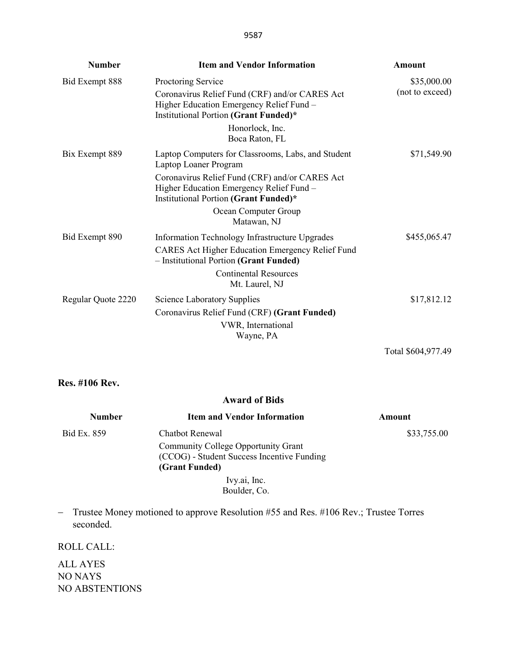| <b>Number</b>      | <b>Item and Vendor Information</b>                                                                                                                        | <b>Amount</b>                  |
|--------------------|-----------------------------------------------------------------------------------------------------------------------------------------------------------|--------------------------------|
| Bid Exempt 888     | Proctoring Service<br>Coronavirus Relief Fund (CRF) and/or CARES Act<br>Higher Education Emergency Relief Fund -<br>Institutional Portion (Grant Funded)* | \$35,000.00<br>(not to exceed) |
|                    | Honorlock, Inc.<br>Boca Raton, FL                                                                                                                         |                                |
| Bix Exempt 889     | Laptop Computers for Classrooms, Labs, and Student<br>Laptop Loaner Program                                                                               | \$71,549.90                    |
|                    | Coronavirus Relief Fund (CRF) and/or CARES Act<br>Higher Education Emergency Relief Fund -<br>Institutional Portion (Grant Funded)*                       |                                |
|                    | Ocean Computer Group<br>Matawan, NJ                                                                                                                       |                                |
| Bid Exempt 890     | Information Technology Infrastructure Upgrades<br>CARES Act Higher Education Emergency Relief Fund<br>- Institutional Portion (Grant Funded)              | \$455,065.47                   |
|                    | <b>Continental Resources</b><br>Mt. Laurel, NJ                                                                                                            |                                |
| Regular Quote 2220 | <b>Science Laboratory Supplies</b><br>Coronavirus Relief Fund (CRF) (Grant Funded)<br>VWR, International<br>Wayne, PA                                     | \$17,812.12                    |
|                    |                                                                                                                                                           | Total \$604,977.49             |

### **Res. #106 Rev.**

### **Award of Bids**

| <b>Number</b> | <b>Item and Vendor Information</b>                                                                  | Amount      |
|---------------|-----------------------------------------------------------------------------------------------------|-------------|
| Bid Ex. 859   | Chatbot Renewal                                                                                     | \$33,755.00 |
|               | Community College Opportunity Grant<br>(CCOG) - Student Success Incentive Funding<br>(Grant Funded) |             |
|               | Ivy.ai, Inc.                                                                                        |             |
|               | Boulder, Co.                                                                                        |             |

− Trustee Money motioned to approve Resolution #55 and Res. #106 Rev.; Trustee Torres seconded.

# ROLL CALL:

ALL AYES NO NAYS NO ABSTENTIONS